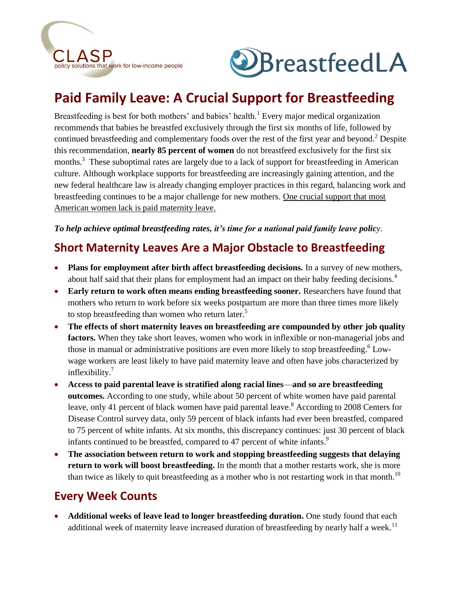



# **Paid Family Leave: A Crucial Support for Breastfeeding**

Breastfeeding is best for both mothers' and babies' health.<sup>1</sup> Every major medical organization recommends that babies be breastfed exclusively through the first six months of life, followed by continued breastfeeding and complementary foods over the rest of the first year and beyond. <sup>2</sup> Despite this recommendation, **nearly 85 percent of women** do not breastfeed exclusively for the first six months.<sup>3</sup> These suboptimal rates are largely due to a lack of support for breastfeeding in American culture. Although workplace supports for breastfeeding are increasingly gaining attention, and the new federal healthcare law is already changing employer practices in this regard, balancing work and breastfeeding continues to be a major challenge for new mothers. One crucial support that most American women lack is paid maternity leave.

#### *To help achieve optimal breastfeeding rates, it's time for a national paid family leave policy.*

#### **Short Maternity Leaves Are a Major Obstacle to Breastfeeding**

- **Plans for employment after birth affect breastfeeding decisions.** In a survey of new mothers, about half said that their plans for employment had an impact on their baby feeding decisions.<sup>4</sup>
- **Early return to work often means ending breastfeeding sooner.** Researchers have found that mothers who return to work before six weeks postpartum are more than three times more likely to stop breastfeeding than women who return later.<sup>5</sup>
- **The effects of short maternity leaves on breastfeeding are compounded by other job quality**  factors. When they take short leaves, women who work in inflexible or non-managerial jobs and those in manual or administrative positions are even more likely to stop breastfeeding.<sup>6</sup> Lowwage workers are least likely to have paid maternity leave and often have jobs characterized by inflexibility.<sup>7</sup>
- **Access to paid parental leave is stratified along racial lines**—**and so are breastfeeding outcomes.** According to one study, while about 50 percent of white women have paid parental leave, only 41 percent of black women have paid parental leave.<sup>8</sup> According to 2008 Centers for Disease Control survey data, only 59 percent of black infants had ever been breastfed, compared to 75 percent of white infants. At six months, this discrepancy continues: just 30 percent of black infants continued to be breastfed, compared to 47 percent of white infants.<sup>9</sup>
- **The association between return to work and stopping breastfeeding suggests that delaying return to work will boost breastfeeding.** In the month that a mother restarts work, she is more than twice as likely to quit breastfeeding as a mother who is not restarting work in that month.<sup>10</sup>

#### **Every Week Counts**

 **Additional weeks of leave lead to longer breastfeeding duration.** One study found that each additional week of maternity leave increased duration of breastfeeding by nearly half a week.<sup>11</sup>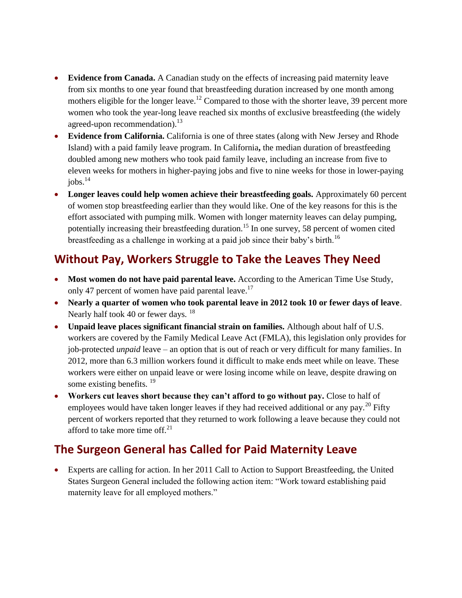- **Evidence from Canada.** A Canadian study on the effects of increasing paid maternity leave from six months to one year found that breastfeeding duration increased by one month among mothers eligible for the longer leave.<sup>12</sup> Compared to those with the shorter leave, 39 percent more women who took the year-long leave reached six months of exclusive breastfeeding (the widely agreed-upon recommendation). $^{13}$
- **Evidence from California.** California is one of three states (along with New Jersey and Rhode Island) with a paid family leave program. In California**,** the median duration of breastfeeding doubled among new mothers who took paid family leave, including an increase from five to eleven weeks for mothers in higher-paying jobs and five to nine weeks for those in lower-paying  $i$ obs. $^{14}$
- Longer leaves could help women achieve their breastfeeding goals. Approximately 60 percent of women stop breastfeeding earlier than they would like. One of the key reasons for this is the effort associated with pumping milk. Women with longer maternity leaves can delay pumping, potentially increasing their breastfeeding duration.<sup>15</sup> In one survey, 58 percent of women cited breastfeeding as a challenge in working at a paid job since their baby's birth.<sup>16</sup>

## **Without Pay, Workers Struggle to Take the Leaves They Need**

- **Most women do not have paid parental leave.** According to the American Time Use Study, only 47 percent of women have paid parental leave.<sup>17</sup>
- **Nearly a quarter of women who took parental leave in 2012 took 10 or fewer days of leave**. Nearly half took 40 or fewer days. <sup>18</sup>
- **Unpaid leave places significant financial strain on families.** Although about half of U.S. workers are covered by the Family Medical Leave Act (FMLA), this legislation only provides for job-protected *unpaid* leave – an option that is out of reach or very difficult for many families. In 2012, more than 6.3 million workers found it difficult to make ends meet while on leave. These workers were either on unpaid leave or were losing income while on leave, despite drawing on some existing benefits.  $19$
- **Workers cut leaves short because they can't afford to go without pay.** Close to half of employees would have taken longer leaves if they had received additional or any pay.<sup>20</sup> Fifty percent of workers reported that they returned to work following a leave because they could not afford to take more time off.<sup>21</sup>

### **The Surgeon General has Called for Paid Maternity Leave**

 Experts are calling for action. In her 2011 Call to Action to Support Breastfeeding, the United States Surgeon General included the following action item: "Work toward establishing paid maternity leave for all employed mothers."